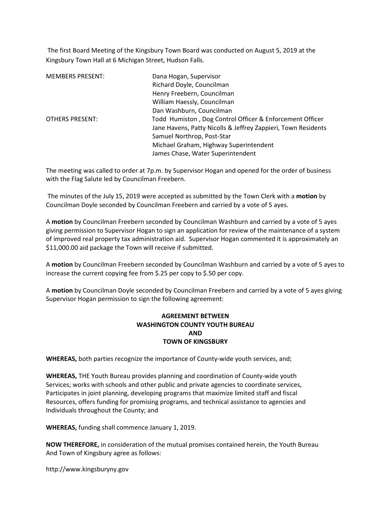The first Board Meeting of the Kingsbury Town Board was conducted on August 5, 2019 at the Kingsbury Town Hall at 6 Michigan Street, Hudson Falls.

| <b>MEMBERS PRESENT:</b> | Dana Hogan, Supervisor                                        |
|-------------------------|---------------------------------------------------------------|
|                         | Richard Doyle, Councilman                                     |
|                         | Henry Freebern, Councilman                                    |
|                         | William Haessly, Councilman                                   |
|                         | Dan Washburn, Councilman                                      |
| <b>OTHERS PRESENT:</b>  | Todd Humiston, Dog Control Officer & Enforcement Officer      |
|                         | Jane Havens, Patty Nicolls & Jeffrey Zappieri, Town Residents |
|                         | Samuel Northrop, Post-Star                                    |
|                         | Michael Graham, Highway Superintendent                        |
|                         | James Chase, Water Superintendent                             |

The meeting was called to order at 7p.m. by Supervisor Hogan and opened for the order of business with the Flag Salute led by Councilman Freebern.

The minutes of the July 15, 2019 were accepted as submitted by the Town Clerk with a motion by Councilman Doyle seconded by Councilman Freebern and carried by a vote of 5 ayes.

A motion by Councilman Freebern seconded by Councilman Washburn and carried by a vote of 5 ayes giving permission to Supervisor Hogan to sign an application for review of the maintenance of a system of improved real property tax administration aid. Supervisor Hogan commented it is approximately an \$11,000.00 aid package the Town will receive if submitted.

A motion by Councilman Freebern seconded by Councilman Washburn and carried by a vote of 5 ayes to increase the current copying fee from \$.25 per copy to \$.50 per copy.

A motion by Councilman Doyle seconded by Councilman Freebern and carried by a vote of 5 ayes giving Supervisor Hogan permission to sign the following agreement:

## AGREEMENT BETWEEN WASHINGTON COUNTY YOUTH BUREAU AND TOWN OF KINGSBURY

WHEREAS, both parties recognize the importance of County-wide youth services, and;

WHEREAS, THE Youth Bureau provides planning and coordination of County-wide youth Services; works with schools and other public and private agencies to coordinate services, Participates in joint planning, developing programs that maximize limited staff and fiscal Resources, offers funding for promising programs, and technical assistance to agencies and Individuals throughout the County; and

WHEREAS, funding shall commence January 1, 2019.

NOW THEREFORE, in consideration of the mutual promises contained herein, the Youth Bureau And Town of Kingsbury agree as follows:

http://www.kingsburyny.gov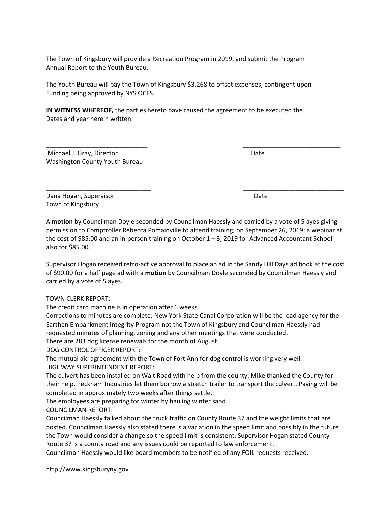The Town of Kingsbury will provide a Recreation Program in 2019, and submit the Program Annual Report to the Youth Bureau.

The Youth Bureau will pay the Town of Kingsbury \$3,268 to offset expenses, contingent upon Funding being approved by NYS OCFS.

IN WITNESS WHEREOF, the parties hereto have caused the agreement to be executed the Dates and year herein written.

Michael J. Gray, Director **Date** Date **Date** Date **Date** Washington County Youth Bureau

Dana Hogan, Supervisor Date Date Date Date Date Town of Kingsbury

A motion by Councilman Doyle seconded by Councilman Haessly and carried by a vote of 5 ayes giving permission to Comptroller Rebecca Pomainville to attend training; on September 26, 2019; a webinar at the cost of \$85.00 and an in-person training on October 1 - 3, 2019 for Advanced Accountant School also for \$85.00.

 $\overline{\phantom{a}}$  , and the contract of the contract of the contract of the contract of the contract of the contract of the contract of the contract of the contract of the contract of the contract of the contract of the contrac

 $\overline{\phantom{a}}$  , and the contract of the contract of the contract of the contract of the contract of the contract of the contract of the contract of the contract of the contract of the contract of the contract of the contrac

Supervisor Hogan received retro-active approval to place an ad in the Sandy Hill Days ad book at the cost of \$90.00 for a half page ad with a motion by Councilman Doyle seconded by Councilman Haessly and carried by a vote of 5 ayes.

TOWN CLERK REPORT:

The credit card machine is in operation after 6 weeks.

Corrections to minutes are complete; New York State Canal Corporation will be the lead agency for the Earthen Embankment Integrity Program not the Town of Kingsbury and Councilman Haessly had requested minutes of planning, zoning and any other meetings that were conducted.

There are 283 dog license renewals for the month of August.

DOG CONTROL OFFICER REPORT:

The mutual aid agreement with the Town of Fort Ann for dog control is working very well. HIGHWAY SUPERINTENDENT REPORT:

The culvert has been installed on Wait Road with help from the county. Mike thanked the County for their help. Peckham Industries let them borrow a stretch trailer to transport the culvert. Paving will be completed in approximately two weeks after things settle.

The employees are preparing for winter by hauling winter sand.

COUNCILMAN REPORT:

Councilman Haessly talked about the truck traffic on County Route 37 and the weight limits that are posted. Councilman Haessly also stated there is a variation in the speed limit and possibly in the future the Town would consider a change so the speed limit is consistent. Supervisor Hogan stated County Route 37 is a county road and any issues could be reported to law enforcement.

Councilman Haessly would like board members to be notified of any FOIL requests received.

http://www.kingsburyny.gov